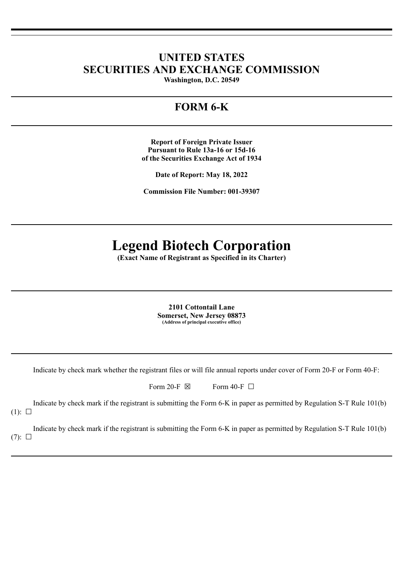## **UNITED STATES SECURITIES AND EXCHANGE COMMISSION**

**Washington, D.C. 20549**

## **FORM 6-K**

**Report of Foreign Private Issuer Pursuant to Rule 13a-16 or 15d-16 of the Securities Exchange Act of 1934**

**Date of Report: May 18, 2022**

**Commission File Number: 001-39307**

# **Legend Biotech Corporation**

**(Exact Name of Registrant as Specified in its Charter)**

**2101 Cottontail Lane Somerset, New Jersey 08873 (Address of principal executive office)**

Indicate by check mark whether the registrant files or will file annual reports under cover of Form 20-F or Form 40-F:

Form 20-F  $\boxtimes$  Form 40-F  $\Box$ 

Indicate by check mark if the registrant is submitting the Form 6-K in paper as permitted by Regulation S-T Rule 101(b)  $(1): \Box$ 

Indicate by check mark if the registrant is submitting the Form 6-K in paper as permitted by Regulation S-T Rule 101(b)  $(7): \Box$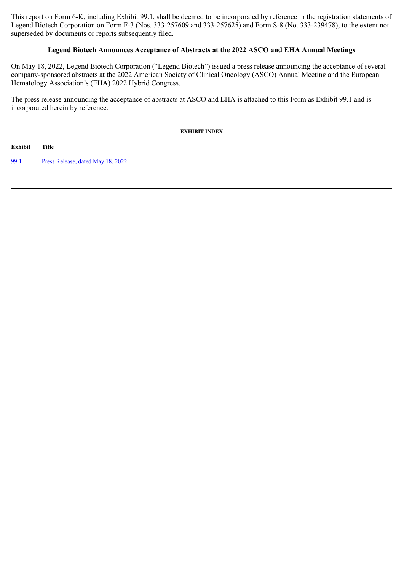This report on Form 6-K, including Exhibit 99.1, shall be deemed to be incorporated by reference in the registration statements of Legend Biotech Corporation on Form F-3 (Nos. 333-257609 and 333-257625) and Form S-8 (No. 333-239478), to the extent not superseded by documents or reports subsequently filed.

#### **Legend Biotech Announces Acceptance of Abstracts at the 2022 ASCO and EHA Annual Meetings**

On May 18, 2022, Legend Biotech Corporation ("Legend Biotech") issued a press release announcing the acceptance of several company-sponsored abstracts at the 2022 American Society of Clinical Oncology (ASCO) Annual Meeting and the European Hematology Association's (EHA) 2022 Hybrid Congress.

The press release announcing the acceptance of abstracts at ASCO and EHA is attached to this Form as Exhibit 99.1 and is incorporated herein by reference.

**EXHIBIT INDEX**

**Exhibit Title**

[99.1](#page-3-0) Press [Release,](#page-3-0) dated May 18, 2022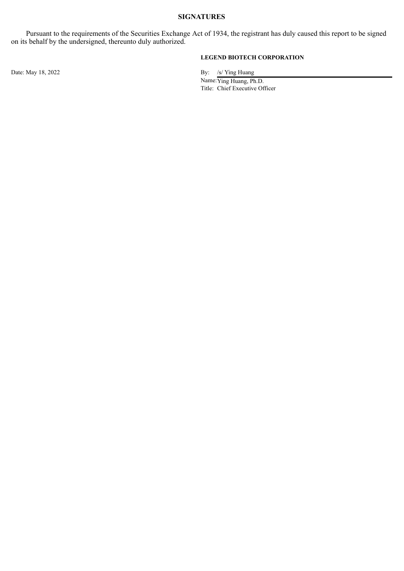#### **SIGNATURES**

Pursuant to the requirements of the Securities Exchange Act of 1934, the registrant has duly caused this report to be signed on its behalf by the undersigned, thereunto duly authorized.

#### **LEGEND BIOTECH CORPORATION**

Date: May 18, 2022 By: /s/ Ying Huang

Name:Ying Huang, Ph.D. Title: Chief Executive Officer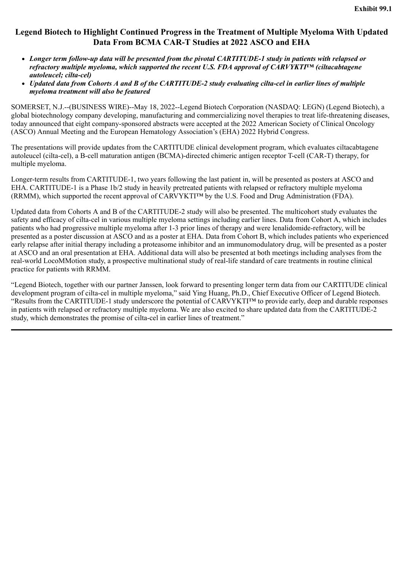#### <span id="page-3-0"></span>**Legend Biotech to Highlight Continued Progress in the Treatment of Multiple Myeloma With Updated Data From BCMA CAR-T Studies at 2022 ASCO and EHA**

- *Longer term follow-up data will be presented from the pivotal CARTITUDE-1 study in patients with relapsed or refractory multiple myeloma, which supported the recent U.S. FDA approval of CARVYKTI™ (ciltacabtagene autoleucel; cilta-cel)*
- *Updated data from Cohorts A and B of the CARTITUDE-2 study evaluating cilta-cel in earlier lines of multiple myeloma treatment will also be featured*

SOMERSET, N.J.--(BUSINESS WIRE)--May 18, 2022--Legend Biotech Corporation (NASDAQ: LEGN) (Legend Biotech), a global biotechnology company developing, manufacturing and commercializing novel therapies to treat life-threatening diseases, today announced that eight company-sponsored abstracts were accepted at the 2022 American Society of Clinical Oncology (ASCO) Annual Meeting and the European Hematology Association's (EHA) 2022 Hybrid Congress.

The presentations will provide updates from the CARTITUDE clinical development program, which evaluates ciltacabtagene autoleucel (cilta-cel), a B-cell maturation antigen (BCMA)-directed chimeric antigen receptor T-cell (CAR-T) therapy, for multiple myeloma.

Longer-term results from CARTITUDE-1, two years following the last patient in, will be presented as posters at ASCO and EHA. CARTITUDE-1 is a Phase 1b/2 study in heavily pretreated patients with relapsed or refractory multiple myeloma (RRMM), which supported the recent approval of CARVYKTI™ by the U.S. Food and Drug Administration (FDA).

Updated data from Cohorts A and B of the CARTITUDE-2 study will also be presented. The multicohort study evaluates the safety and efficacy of cilta-cel in various multiple myeloma settings including earlier lines. Data from Cohort A, which includes patients who had progressive multiple myeloma after 1-3 prior lines of therapy and were lenalidomide-refractory, will be presented as a poster discussion at ASCO and as a poster at EHA. Data from Cohort B, which includes patients who experienced early relapse after initial therapy including a proteasome inhibitor and an immunomodulatory drug, will be presented as a poster at ASCO and an oral presentation at EHA. Additional data will also be presented at both meetings including analyses from the real-world LocoMMotion study, a prospective multinational study of real-life standard of care treatments in routine clinical practice for patients with RRMM.

"Legend Biotech, together with our partner Janssen, look forward to presenting longer term data from our CARTITUDE clinical development program of cilta-cel in multiple myeloma," said Ying Huang, Ph.D., Chief Executive Officer of Legend Biotech. "Results from the CARTITUDE-1 study underscore the potential of CARVYKTI™ to provide early, deep and durable responses in patients with relapsed or refractory multiple myeloma. We are also excited to share updated data from the CARTITUDE-2 study, which demonstrates the promise of cilta-cel in earlier lines of treatment."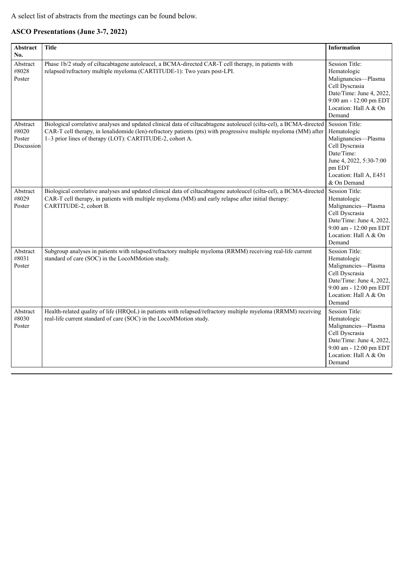A select list of abstracts from the meetings can be found below.

### **ASCO Presentations (June 3-7, 2022)**

| Abstract<br>No.                           | <b>Title</b>                                                                                                                                                                                                                                                                                        | <b>Information</b>                                                                                                                                                        |
|-------------------------------------------|-----------------------------------------------------------------------------------------------------------------------------------------------------------------------------------------------------------------------------------------------------------------------------------------------------|---------------------------------------------------------------------------------------------------------------------------------------------------------------------------|
| Abstract<br>#8028<br>Poster               | Phase 1b/2 study of ciltacabtagene autoleucel, a BCMA-directed CAR-T cell therapy, in patients with<br>relapsed/refractory multiple myeloma (CARTITUDE-1): Two years post-LPI.                                                                                                                      | <b>Session Title:</b><br>Hematologic<br>Malignancies-Plasma<br>Cell Dyscrasia<br>Date/Time: June 4, 2022,<br>9:00 am - 12:00 pm EDT<br>Location: Hall A & On<br>Demand    |
| Abstract<br>#8020<br>Poster<br>Discussion | Biological correlative analyses and updated clinical data of ciltacabtagene autoleucel (cilta-cel), a BCMA-directed<br>CAR-T cell therapy, in lenalidomide (len)-refractory patients (pts) with progressive multiple myeloma (MM) after<br>1-3 prior lines of therapy (LOT): CARTITUDE-2, cohort A. | <b>Session Title:</b><br>Hematologic<br>Malignancies-Plasma<br>Cell Dyscrasia<br>Date/Time:<br>June 4, 2022, 5:30-7:00<br>pm EDT<br>Location: Hall A, E451<br>& On Demand |
| Abstract<br>#8029<br>Poster               | Biological correlative analyses and updated clinical data of ciltacabtagene autoleucel (cilta-cel), a BCMA-directed<br>CAR-T cell therapy, in patients with multiple myeloma (MM) and early relapse after initial therapy:<br>CARTITUDE-2, cohort B.                                                | Session Title:<br>Hematologic<br>Malignancies-Plasma<br>Cell Dyscrasia<br>Date/Time: June 4, 2022,<br>9:00 am - 12:00 pm EDT<br>Location: Hall A & On<br>Demand           |
| Abstract<br>#8031<br>Poster               | Subgroup analyses in patients with relapsed/refractory multiple myeloma (RRMM) receiving real-life current<br>standard of care (SOC) in the LocoMMotion study.                                                                                                                                      | <b>Session Title:</b><br>Hematologic<br>Malignancies-Plasma<br>Cell Dyscrasia<br>Date/Time: June 4, 2022,<br>9:00 am - 12:00 pm EDT<br>Location: Hall A & On<br>Demand    |
| Abstract<br>#8030<br>Poster               | Health-related quality of life (HRQoL) in patients with relapsed/refractory multiple myeloma (RRMM) receiving<br>real-life current standard of care (SOC) in the LocoMMotion study.                                                                                                                 | <b>Session Title:</b><br>Hematologic<br>Malignancies-Plasma<br>Cell Dyscrasia<br>Date/Time: June 4, 2022,<br>9:00 am - 12:00 pm EDT<br>Location: Hall A & On<br>Demand    |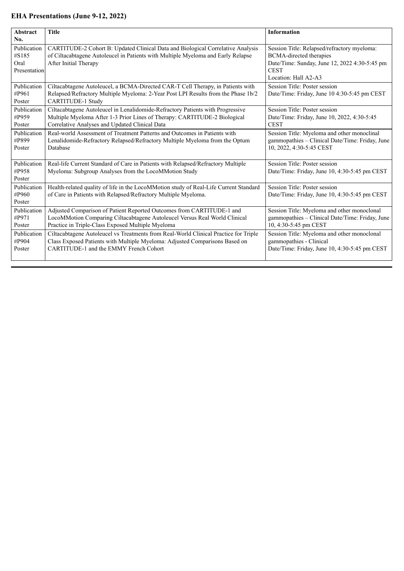#### **EHA Presentations (June 9-12, 2022)**

| Abstract                                            | <b>Title</b>                                                                                                                                                                                                  | <b>Information</b>                                                                                                                                                    |
|-----------------------------------------------------|---------------------------------------------------------------------------------------------------------------------------------------------------------------------------------------------------------------|-----------------------------------------------------------------------------------------------------------------------------------------------------------------------|
| No.<br>Publication<br>#S185<br>Oral<br>Presentation | <b>CARTITUDE-2 Cohort B: Updated Clinical Data and Biological Correlative Analysis</b><br>of Ciltacabtagene Autoleucel in Patients with Multiple Myeloma and Early Relapse<br>After Initial Therapy           | Session Title: Relapsed/refractory myeloma:<br><b>BCMA-directed therapies</b><br>Date/Time: Sunday, June 12, 2022 4:30-5:45 pm<br><b>CEST</b><br>Location: Hall A2-A3 |
| Publication<br>#P961<br>Poster                      | Ciltacabtagene Autoleucel, a BCMA-Directed CAR-T Cell Therapy, in Patients with<br>Relapsed/Refractory Multiple Myeloma: 2-Year Post LPI Results from the Phase 1b/2<br><b>CARTITUDE-1 Study</b>              | Session Title: Poster session<br>Date/Time: Friday, June 10 4:30-5:45 pm CEST                                                                                         |
| Publication<br>#P959<br>Poster                      | Ciltacabtagene Autoleucel in Lenalidomide-Refractory Patients with Progressive<br>Multiple Myeloma After 1-3 Prior Lines of Therapy: CARTITUDE-2 Biological<br>Correlative Analyses and Updated Clinical Data | Session Title: Poster session<br>Date/Time: Friday, June 10, 2022, 4:30-5:45<br><b>CEST</b>                                                                           |
| Publication<br>#P899<br>Poster                      | Real-world Assessment of Treatment Patterns and Outcomes in Patients with<br>Lenalidomide-Refractory Relapsed/Refractory Multiple Myeloma from the Optum<br>Database                                          | Session Title: Myeloma and other monoclinal<br>gammopathies – Clinical Date/Time: Friday, June<br>10, 2022, 4:30-5:45 CEST                                            |
| Publication<br>#P958<br>Poster                      | Real-life Current Standard of Care in Patients with Relapsed/Refractory Multiple<br>Myeloma: Subgroup Analyses from the LocoMMotion Study                                                                     | Session Title: Poster session<br>Date/Time: Friday, June 10, 4:30-5:45 pm CEST                                                                                        |
| Publication<br>#P960<br>Poster                      | Health-related quality of life in the LocoMMotion study of Real-Life Current Standard<br>of Care in Patients with Relapsed/Refractory Multiple Myeloma.                                                       | Session Title: Poster session<br>Date/Time: Friday, June 10, 4:30-5:45 pm CEST                                                                                        |
| Publication<br>#P971<br>Poster                      | Adjusted Comparison of Patient Reported Outcomes from CARTITUDE-1 and<br>LocoMMotion Comparing Ciltacabtagene Autoleucel Versus Real World Clinical<br>Practice in Triple-Class Exposed Multiple Myeloma      | Session Title: Myeloma and other monoclonal<br>gammopathies - Clinical Date/Time: Friday, June<br>10, 4:30-5:45 pm CEST                                               |
| Publication<br>#P904<br>Poster                      | Ciltacabtagene Autoleucel vs Treatments from Real-World Clinical Practice for Triple<br>Class Exposed Patients with Multiple Myeloma: Adjusted Comparisons Based on<br>CARTITUDE-1 and the EMMY French Cohort | Session Title: Myeloma and other monoclonal<br>gammopathies - Clinical<br>Date/Time: Friday, June 10, 4:30-5:45 pm CEST                                               |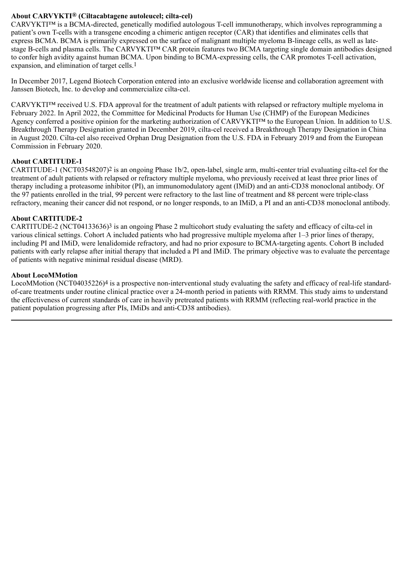#### **About CARVYKTI® (Ciltacabtagene autoleucel; cilta-cel)**

CARVYKTI™ is a BCMA-directed, genetically modified autologous T-cell immunotherapy, which involves reprogramming a patient's own T-cells with a transgene encoding a chimeric antigen receptor (CAR) that identifies and eliminates cells that express BCMA. BCMA is primarily expressed on the surface of malignant multiple myeloma B-lineage cells, as well as latestage B-cells and plasma cells. The CARVYKTI™ CAR protein features two BCMA targeting single domain antibodies designed to confer high avidity against human BCMA. Upon binding to BCMA-expressing cells, the CAR promotes T-cell activation, expansion, and elimination of target cells.1

In December 2017, Legend Biotech Corporation entered into an exclusive worldwide license and collaboration agreement with Janssen Biotech, Inc. to develop and commercialize cilta-cel.

CARVYKTI™ received U.S. FDA approval for the treatment of adult patients with relapsed or refractory multiple myeloma in February 2022. In April 2022, the Committee for Medicinal Products for Human Use (CHMP) of the European Medicines Agency conferred a positive opinion for the marketing authorization of CARVYKTI™ to the European Union. In addition to U.S. Breakthrough Therapy Designation granted in December 2019, cilta-cel received a Breakthrough Therapy Designation in China in August 2020. Cilta-cel also received Orphan Drug Designation from the U.S. FDA in February 2019 and from the European Commission in February 2020.

#### **About CARTITUDE-1**

CARTITUDE-1 (NCT03548207)<sup>2</sup> is an ongoing Phase 1b/2, open-label, single arm, multi-center trial evaluating cilta-cel for the treatment of adult patients with relapsed or refractory multiple myeloma, who previously received at least three prior lines of therapy including a proteasome inhibitor (PI), an immunomodulatory agent (IMiD) and an anti-CD38 monoclonal antibody. Of the 97 patients enrolled in the trial, 99 percent were refractory to the last line of treatment and 88 percent were triple-class refractory, meaning their cancer did not respond, or no longer responds, to an IMiD, a PI and an anti-CD38 monoclonal antibody.

#### **About CARTITUDE-2**

CARTITUDE-2 (NCT04133636)<sup>3</sup> is an ongoing Phase 2 multicohort study evaluating the safety and efficacy of cilta-cel in various clinical settings. Cohort A included patients who had progressive multiple myeloma after 1–3 prior lines of therapy, including PI and IMiD, were lenalidomide refractory, and had no prior exposure to BCMA-targeting agents. Cohort B included patients with early relapse after initial therapy that included a PI and IMiD. The primary objective was to evaluate the percentage of patients with negative minimal residual disease (MRD).

#### **About LocoMMotion**

LocoMMotion (NCT04035226)<sup>4</sup> is a prospective non-interventional study evaluating the safety and efficacy of real-life standardof-care treatments under routine clinical practice over a 24-month period in patients with RRMM. This study aims to understand the effectiveness of current standards of care in heavily pretreated patients with RRMM (reflecting real-world practice in the patient population progressing after PIs, IMiDs and anti-CD38 antibodies).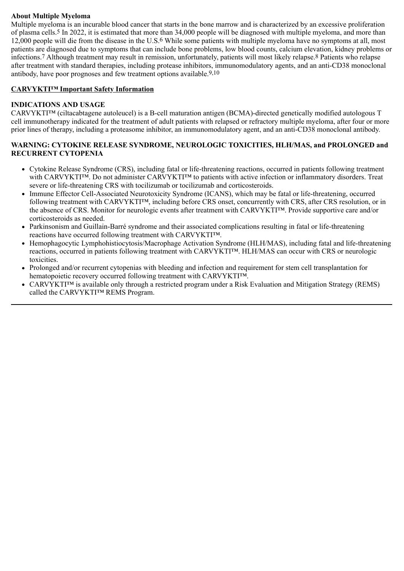#### **About Multiple Myeloma**

Multiple myeloma is an incurable blood cancer that starts in the bone marrow and is characterized by an excessive proliferation of plasma cells.5 In 2022, it is estimated that more than 34,000 people will be diagnosed with multiple myeloma, and more than 12,000 people will die from the disease in the U.S.6 While some patients with multiple myeloma have no symptoms at all, most patients are diagnosed due to symptoms that can include bone problems, low blood counts, calcium elevation, kidney problems or infections.7 Although treatment may result in remission, unfortunately, patients will most likely relapse.8 Patients who relapse after treatment with standard therapies, including protease inhibitors, immunomodulatory agents, and an anti-CD38 monoclonal antibody, have poor prognoses and few treatment options available.<sup>9,10</sup>

#### **CARVYKTI™ Important Safety Information**

#### **INDICATIONS AND USAGE**

CARVYKTI™ (ciltacabtagene autoleucel) is a B-cell maturation antigen (BCMA)-directed genetically modified autologous T cell immunotherapy indicated for the treatment of adult patients with relapsed or refractory multiple myeloma, after four or more prior lines of therapy, including a proteasome inhibitor, an immunomodulatory agent, and an anti-CD38 monoclonal antibody.

#### **WARNING: CYTOKINE RELEASE SYNDROME, NEUROLOGIC TOXICITIES, HLH/MAS, and PROLONGED and RECURRENT CYTOPENIA**

- Cytokine Release Syndrome (CRS), including fatal or life-threatening reactions, occurred in patients following treatment with CARVYKTI™. Do not administer CARVYKTI™ to patients with active infection or inflammatory disorders. Treat severe or life-threatening CRS with tocilizumab or tocilizumab and corticosteroids.
- Immune Effector Cell-Associated Neurotoxicity Syndrome (ICANS), which may be fatal or life-threatening, occurred following treatment with CARVYKTI™, including before CRS onset, concurrently with CRS, after CRS resolution, or in the absence of CRS. Monitor for neurologic events after treatment with CARVYKTI™. Provide supportive care and/or corticosteroids as needed.
- Parkinsonism and Guillain-Barré syndrome and their associated complications resulting in fatal or life-threatening  $\bullet$ reactions have occurred following treatment with CARVYKTI™.
- Hemophagocytic Lymphohistiocytosis/Macrophage Activation Syndrome (HLH/MAS), including fatal and life-threatening reactions, occurred in patients following treatment with CARVYKTI™. HLH/MAS can occur with CRS or neurologic toxicities.
- Prolonged and/or recurrent cytopenias with bleeding and infection and requirement for stem cell transplantation for  $\bullet$ hematopoietic recovery occurred following treatment with CARVYKTI™.
- CARVYKTI<sup>™</sup> is available only through a restricted program under a Risk Evaluation and Mitigation Strategy (REMS) called the CARVYKTI™ REMS Program.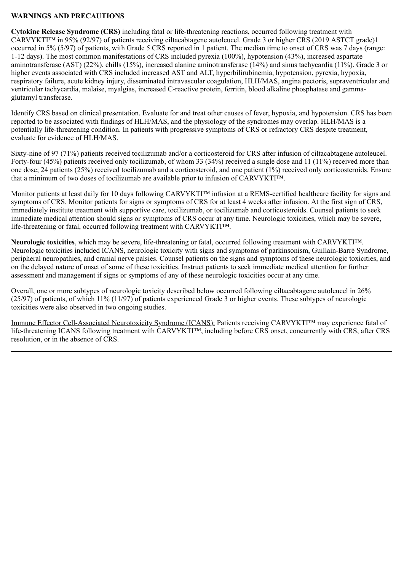#### **WARNINGS AND PRECAUTIONS**

**Cytokine Release Syndrome (CRS)** including fatal or life-threatening reactions, occurred following treatment with CARVYKTI™ in 95% (92/97) of patients receiving ciltacabtagene autoleucel. Grade 3 or higher CRS (2019 ASTCT grade)1 occurred in 5% (5/97) of patients, with Grade 5 CRS reported in 1 patient. The median time to onset of CRS was 7 days (range: 1-12 days). The most common manifestations of CRS included pyrexia (100%), hypotension (43%), increased aspartate aminotransferase (AST) (22%), chills (15%), increased alanine aminotransferase (14%) and sinus tachycardia (11%). Grade 3 or higher events associated with CRS included increased AST and ALT, hyperbilirubinemia, hypotension, pyrexia, hypoxia, respiratory failure, acute kidney injury, disseminated intravascular coagulation, HLH/MAS, angina pectoris, supraventricular and ventricular tachycardia, malaise, myalgias, increased C-reactive protein, ferritin, blood alkaline phosphatase and gammaglutamyl transferase.

Identify CRS based on clinical presentation. Evaluate for and treat other causes of fever, hypoxia, and hypotension. CRS has been reported to be associated with findings of HLH/MAS, and the physiology of the syndromes may overlap. HLH/MAS is a potentially life-threatening condition. In patients with progressive symptoms of CRS or refractory CRS despite treatment, evaluate for evidence of HLH/MAS.

Sixty-nine of 97 (71%) patients received tocilizumab and/or a corticosteroid for CRS after infusion of ciltacabtagene autoleucel. Forty-four (45%) patients received only tocilizumab, of whom 33 (34%) received a single dose and 11 (11%) received more than one dose; 24 patients (25%) received tocilizumab and a corticosteroid, and one patient (1%) received only corticosteroids. Ensure that a minimum of two doses of tocilizumab are available prior to infusion of CARVYKTI™.

Monitor patients at least daily for 10 days following CARVYKTI<sup>™</sup> infusion at a REMS-certified healthcare facility for signs and symptoms of CRS. Monitor patients for signs or symptoms of CRS for at least 4 weeks after infusion. At the first sign of CRS, immediately institute treatment with supportive care, tocilizumab, or tocilizumab and corticosteroids. Counsel patients to seek immediate medical attention should signs or symptoms of CRS occur at any time. Neurologic toxicities, which may be severe, life-threatening or fatal, occurred following treatment with CARVYKTI™.

**Neurologic toxicities**, which may be severe, life-threatening or fatal, occurred following treatment with CARVYKTI™. Neurologic toxicities included ICANS, neurologic toxicity with signs and symptoms of parkinsonism, Guillain-Barré Syndrome, peripheral neuropathies, and cranial nerve palsies. Counsel patients on the signs and symptoms of these neurologic toxicities, and on the delayed nature of onset of some of these toxicities. Instruct patients to seek immediate medical attention for further assessment and management if signs or symptoms of any of these neurologic toxicities occur at any time.

Overall, one or more subtypes of neurologic toxicity described below occurred following ciltacabtagene autoleucel in 26% (25/97) of patients, of which 11% (11/97) of patients experienced Grade 3 or higher events. These subtypes of neurologic toxicities were also observed in two ongoing studies.

Immune Effector Cell-Associated Neurotoxicity Syndrome (ICANS): Patients receiving CARVYKTI™ may experience fatal of life-threatening ICANS following treatment with CARVYKTI™, including before CRS onset, concurrently with CRS, after CRS resolution, or in the absence of CRS.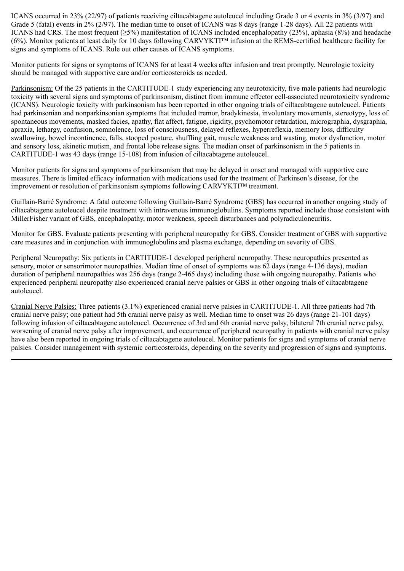ICANS occurred in 23% (22/97) of patients receiving ciltacabtagene autoleucel including Grade 3 or 4 events in 3% (3/97) and Grade 5 (fatal) events in 2% (2/97). The median time to onset of ICANS was 8 days (range 1-28 days). All 22 patients with ICANS had CRS. The most frequent (≥5%) manifestation of ICANS included encephalopathy (23%), aphasia (8%) and headache (6%). Monitor patients at least daily for 10 days following CARVYKTI™ infusion at the REMS-certified healthcare facility for signs and symptoms of ICANS. Rule out other causes of ICANS symptoms.

Monitor patients for signs or symptoms of ICANS for at least 4 weeks after infusion and treat promptly. Neurologic toxicity should be managed with supportive care and/or corticosteroids as needed.

Parkinsonism: Of the 25 patients in the CARTITUDE-1 study experiencing any neurotoxicity, five male patients had neurologic toxicity with several signs and symptoms of parkinsonism, distinct from immune effector cell-associated neurotoxicity syndrome (ICANS). Neurologic toxicity with parkinsonism has been reported in other ongoing trials of ciltacabtagene autoleucel. Patients had parkinsonian and nonparkinsonian symptoms that included tremor, bradykinesia, involuntary movements, stereotypy, loss of spontaneous movements, masked facies, apathy, flat affect, fatigue, rigidity, psychomotor retardation, micrographia, dysgraphia, apraxia, lethargy, confusion, somnolence, loss of consciousness, delayed reflexes, hyperreflexia, memory loss, difficulty swallowing, bowel incontinence, falls, stooped posture, shuffling gait, muscle weakness and wasting, motor dysfunction, motor and sensory loss, akinetic mutism, and frontal lobe release signs. The median onset of parkinsonism in the 5 patients in CARTITUDE-1 was 43 days (range 15-108) from infusion of ciltacabtagene autoleucel.

Monitor patients for signs and symptoms of parkinsonism that may be delayed in onset and managed with supportive care measures. There is limited efficacy information with medications used for the treatment of Parkinson's disease, for the improvement or resolution of parkinsonism symptoms following CARVYKTI™ treatment.

Guillain-Barré Syndrome: A fatal outcome following Guillain-Barré Syndrome (GBS) has occurred in another ongoing study of ciltacabtagene autoleucel despite treatment with intravenous immunoglobulins. Symptoms reported include those consistent with MillerFisher variant of GBS, encephalopathy, motor weakness, speech disturbances and polyradiculoneuritis.

Monitor for GBS. Evaluate patients presenting with peripheral neuropathy for GBS. Consider treatment of GBS with supportive care measures and in conjunction with immunoglobulins and plasma exchange, depending on severity of GBS.

Peripheral Neuropathy: Six patients in CARTITUDE-1 developed peripheral neuropathy. These neuropathies presented as sensory, motor or sensorimotor neuropathies. Median time of onset of symptoms was 62 days (range 4-136 days), median duration of peripheral neuropathies was 256 days (range 2-465 days) including those with ongoing neuropathy. Patients who experienced peripheral neuropathy also experienced cranial nerve palsies or GBS in other ongoing trials of ciltacabtagene autoleucel.

Cranial Nerve Palsies: Three patients (3.1%) experienced cranial nerve palsies in CARTITUDE-1. All three patients had 7th cranial nerve palsy; one patient had 5th cranial nerve palsy as well. Median time to onset was 26 days (range 21-101 days) following infusion of ciltacabtagene autoleucel. Occurrence of 3rd and 6th cranial nerve palsy, bilateral 7th cranial nerve palsy, worsening of cranial nerve palsy after improvement, and occurrence of peripheral neuropathy in patients with cranial nerve palsy have also been reported in ongoing trials of ciltacabtagene autoleucel. Monitor patients for signs and symptoms of cranial nerve palsies. Consider management with systemic corticosteroids, depending on the severity and progression of signs and symptoms.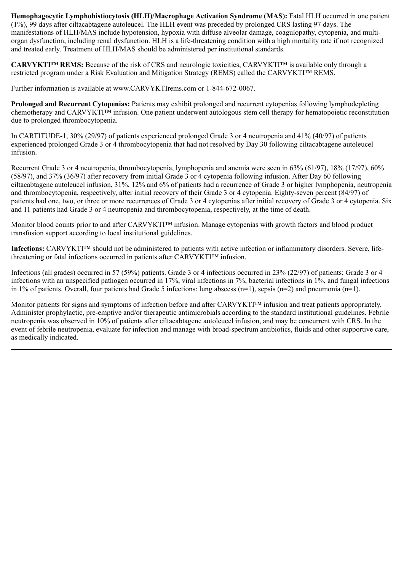**Hemophagocytic Lymphohistiocytosis (HLH)/Macrophage Activation Syndrome (MAS):** Fatal HLH occurred in one patient (1%), 99 days after ciltacabtagene autoleucel. The HLH event was preceded by prolonged CRS lasting 97 days. The manifestations of HLH/MAS include hypotension, hypoxia with diffuse alveolar damage, coagulopathy, cytopenia, and multiorgan dysfunction, including renal dysfunction. HLH is a life-threatening condition with a high mortality rate if not recognized and treated early. Treatment of HLH/MAS should be administered per institutional standards.

**CARVYKTI™ REMS:** Because of the risk of CRS and neurologic toxicities, CARVYKTI™ is available only through a restricted program under a Risk Evaluation and Mitigation Strategy (REMS) called the CARVYKTI™ REMS.

Further information is available at www.CARVYKTIrems.com or 1-844-672-0067.

**Prolonged and Recurrent Cytopenias:** Patients may exhibit prolonged and recurrent cytopenias following lymphodepleting chemotherapy and CARVYKTI™ infusion. One patient underwent autologous stem cell therapy for hematopoietic reconstitution due to prolonged thrombocytopenia.

In CARTITUDE-1, 30% (29/97) of patients experienced prolonged Grade 3 or 4 neutropenia and 41% (40/97) of patients experienced prolonged Grade 3 or 4 thrombocytopenia that had not resolved by Day 30 following ciltacabtagene autoleucel infusion.

Recurrent Grade 3 or 4 neutropenia, thrombocytopenia, lymphopenia and anemia were seen in 63% (61/97), 18% (17/97), 60% (58/97), and 37% (36/97) after recovery from initial Grade 3 or 4 cytopenia following infusion. After Day 60 following ciltacabtagene autoleucel infusion, 31%, 12% and 6% of patients had a recurrence of Grade 3 or higher lymphopenia, neutropenia and thrombocytopenia, respectively, after initial recovery of their Grade 3 or 4 cytopenia. Eighty-seven percent (84/97) of patients had one, two, or three or more recurrences of Grade 3 or 4 cytopenias after initial recovery of Grade 3 or 4 cytopenia. Six and 11 patients had Grade 3 or 4 neutropenia and thrombocytopenia, respectively, at the time of death.

Monitor blood counts prior to and after CARVYKTI™ infusion. Manage cytopenias with growth factors and blood product transfusion support according to local institutional guidelines.

**Infections:** CARVYKTI™ should not be administered to patients with active infection or inflammatory disorders. Severe, lifethreatening or fatal infections occurred in patients after CARVYKTI™ infusion.

Infections (all grades) occurred in 57 (59%) patients. Grade 3 or 4 infections occurred in 23% (22/97) of patients; Grade 3 or 4 infections with an unspecified pathogen occurred in 17%, viral infections in 7%, bacterial infections in 1%, and fungal infections in 1% of patients. Overall, four patients had Grade 5 infections: lung abscess  $(n=1)$ , sepsis  $(n=2)$  and pneumonia  $(n=1)$ .

Monitor patients for signs and symptoms of infection before and after CARVYKTI™ infusion and treat patients appropriately. Administer prophylactic, pre-emptive and/or therapeutic antimicrobials according to the standard institutional guidelines. Febrile neutropenia was observed in 10% of patients after ciltacabtagene autoleucel infusion, and may be concurrent with CRS. In the event of febrile neutropenia, evaluate for infection and manage with broad-spectrum antibiotics, fluids and other supportive care, as medically indicated.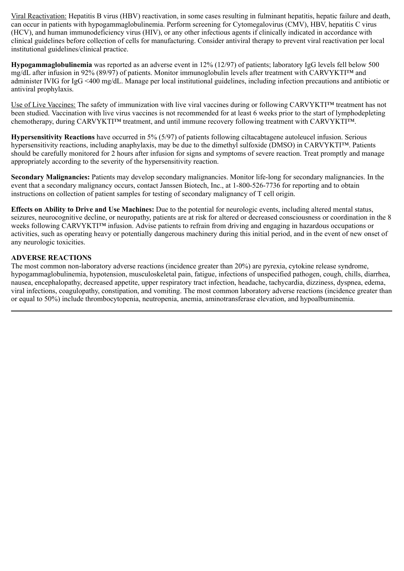Viral Reactivation: Hepatitis B virus (HBV) reactivation, in some cases resulting in fulminant hepatitis, hepatic failure and death, can occur in patients with hypogammaglobulinemia. Perform screening for Cytomegalovirus (CMV), HBV, hepatitis C virus (HCV), and human immunodeficiency virus (HIV), or any other infectious agents if clinically indicated in accordance with clinical guidelines before collection of cells for manufacturing. Consider antiviral therapy to prevent viral reactivation per local institutional guidelines/clinical practice.

**Hypogammaglobulinemia** was reported as an adverse event in 12% (12/97) of patients; laboratory IgG levels fell below 500 mg/dL after infusion in 92% (89/97) of patients. Monitor immunoglobulin levels after treatment with CARVYKTI™ and administer IVIG for IgG <400 mg/dL. Manage per local institutional guidelines, including infection precautions and antibiotic or antiviral prophylaxis.

Use of Live Vaccines: The safety of immunization with live viral vaccines during or following CARVYKTI™ treatment has not been studied. Vaccination with live virus vaccines is not recommended for at least 6 weeks prior to the start of lymphodepleting chemotherapy, during CARVYKTI™ treatment, and until immune recovery following treatment with CARVYKTI™.

**Hypersensitivity Reactions** have occurred in 5% (5/97) of patients following ciltacabtagene autoleucel infusion. Serious hypersensitivity reactions, including anaphylaxis, may be due to the dimethyl sulfoxide (DMSO) in CARVYKTI™. Patients should be carefully monitored for 2 hours after infusion for signs and symptoms of severe reaction. Treat promptly and manage appropriately according to the severity of the hypersensitivity reaction.

**Secondary Malignancies:** Patients may develop secondary malignancies. Monitor life-long for secondary malignancies. In the event that a secondary malignancy occurs, contact Janssen Biotech, Inc., at 1-800-526-7736 for reporting and to obtain instructions on collection of patient samples for testing of secondary malignancy of T cell origin.

**Effects on Ability to Drive and Use Machines:** Due to the potential for neurologic events, including altered mental status, seizures, neurocognitive decline, or neuropathy, patients are at risk for altered or decreased consciousness or coordination in the 8 weeks following CARVYKTI™ infusion. Advise patients to refrain from driving and engaging in hazardous occupations or activities, such as operating heavy or potentially dangerous machinery during this initial period, and in the event of new onset of any neurologic toxicities.

#### **ADVERSE REACTIONS**

The most common non-laboratory adverse reactions (incidence greater than 20%) are pyrexia, cytokine release syndrome, hypogammaglobulinemia, hypotension, musculoskeletal pain, fatigue, infections of unspecified pathogen, cough, chills, diarrhea, nausea, encephalopathy, decreased appetite, upper respiratory tract infection, headache, tachycardia, dizziness, dyspnea, edema, viral infections, coagulopathy, constipation, and vomiting. The most common laboratory adverse reactions (incidence greater than or equal to 50%) include thrombocytopenia, neutropenia, anemia, aminotransferase elevation, and hypoalbuminemia.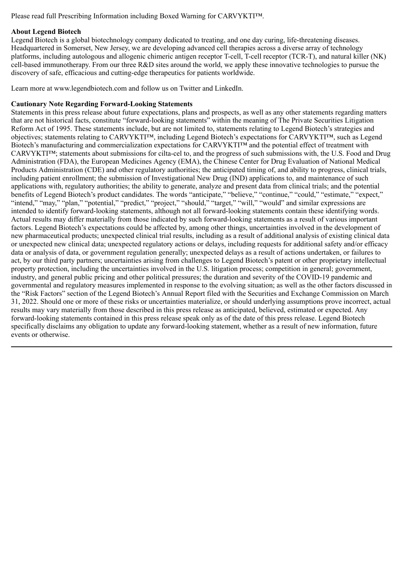Please read full Prescribing Information including Boxed Warning for CARVYKTI™.

#### **About Legend Biotech**

Legend Biotech is a global biotechnology company dedicated to treating, and one day curing, life-threatening diseases. Headquartered in Somerset, New Jersey, we are developing advanced cell therapies across a diverse array of technology platforms, including autologous and allogenic chimeric antigen receptor T-cell, T-cell receptor (TCR-T), and natural killer (NK) cell-based immunotherapy. From our three R&D sites around the world, we apply these innovative technologies to pursue the discovery of safe, efficacious and cutting-edge therapeutics for patients worldwide.

Learn more at www.legendbiotech.com and follow us on Twitter and LinkedIn.

#### **Cautionary Note Regarding Forward-Looking Statements**

Statements in this press release about future expectations, plans and prospects, as well as any other statements regarding matters that are not historical facts, constitute "forward-looking statements" within the meaning of The Private Securities Litigation Reform Act of 1995. These statements include, but are not limited to, statements relating to Legend Biotech's strategies and objectives; statements relating to CARVYKTI™, including Legend Biotech's expectations for CARVYKTI™, such as Legend Biotech's manufacturing and commercialization expectations for CARVYKTI<sup>™</sup> and the potential effect of treatment with CARVYKTI™; statements about submissions for cilta-cel to, and the progress of such submissions with, the U.S. Food and Drug Administration (FDA), the European Medicines Agency (EMA), the Chinese Center for Drug Evaluation of National Medical Products Administration (CDE) and other regulatory authorities; the anticipated timing of, and ability to progress, clinical trials, including patient enrollment; the submission of Investigational New Drug (IND) applications to, and maintenance of such applications with, regulatory authorities; the ability to generate, analyze and present data from clinical trials; and the potential benefits of Legend Biotech's product candidates. The words "anticipate," "believe," "continue," "could," "estimate," "expect," "intend," "may," "plan," "potential," "predict," "project," "should," "target," "will," "would" and similar expressions are intended to identify forward-looking statements, although not all forward-looking statements contain these identifying words. Actual results may differ materially from those indicated by such forward-looking statements as a result of various important factors. Legend Biotech's expectations could be affected by, among other things, uncertainties involved in the development of new pharmaceutical products; unexpected clinical trial results, including as a result of additional analysis of existing clinical data or unexpected new clinical data; unexpected regulatory actions or delays, including requests for additional safety and/or efficacy data or analysis of data, or government regulation generally; unexpected delays as a result of actions undertaken, or failures to act, by our third party partners; uncertainties arising from challenges to Legend Biotech's patent or other proprietary intellectual property protection, including the uncertainties involved in the U.S. litigation process; competition in general; government, industry, and general public pricing and other political pressures; the duration and severity of the COVID-19 pandemic and governmental and regulatory measures implemented in response to the evolving situation; as well as the other factors discussed in the "Risk Factors" section of the Legend Biotech's Annual Report filed with the Securities and Exchange Commission on March 31, 2022. Should one or more of these risks or uncertainties materialize, or should underlying assumptions prove incorrect, actual results may vary materially from those described in this press release as anticipated, believed, estimated or expected. Any forward-looking statements contained in this press release speak only as of the date of this press release. Legend Biotech specifically disclaims any obligation to update any forward-looking statement, whether as a result of new information, future events or otherwise.